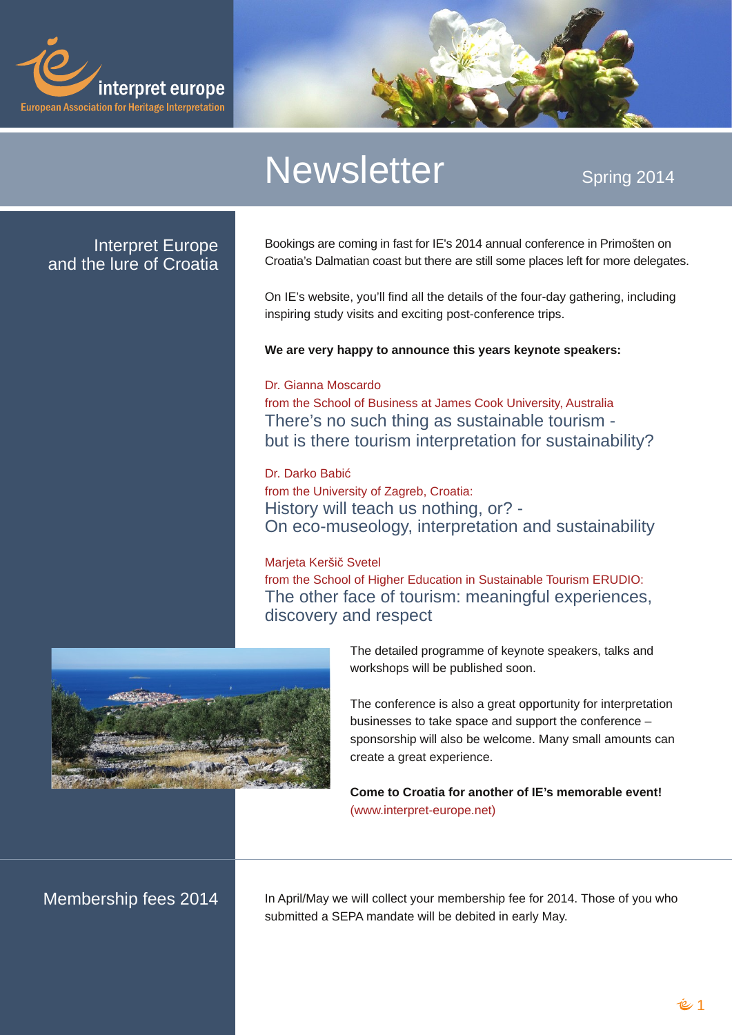# **Qhz volwhu**

# Vsuqi 5347

## LawhusuhwHxursh dag wkh oxuh ri Furdwid

Er r nlqj v duh f r p lqj lq idvwir uLH'v 5347 dqqxdof r qihuhqf h lq Sulp r #Maq r q Fur dvid Ö Gdop dvidg fr dvwexwikh uh duh vvicovrph sodfhv ohi wirupruh ghohj dviav 1

Rq LHÖ z hevlvla/ | r x Öldiqg doowkh ghwdlov r i wich ir x u Qgd| j dwichul qj / lqf oxglqj lqvsluqj vwg| ylvlw dqg h{flwqj srvwfrqihuhqfh wlsv1

Z h duh yhu kdss w dqqr xqf h wklv | hduv nh | qr wh vshdnhuv=

## Gul J Idggd P r vf dugr

iup wkh Vfkrrori Exvlghvv dwWdphv Frrn Xglyhwlw/Dxvwddd With the qr vxf k wildig dv vxvwdligded wrxulvp 0 exwlv wkhth wixuvp law busth wall a ir uvxywdladeldw B

## Gul Gdunr Edel<

iurp wkh Xglyhwlw rildi uhe/ Furdwid= Klywrul zloowhdfk xv grwklgi/ruB0 Rahfr Co xvhroril/lawhusuhvolwing dag vxvvolladelow

## P duhwd Nhu#l> Vyhwho

iup wkh Vfkrrori Kljkhu Hgxfdwiglq Vxvwdlqdedn Wxuvp HUXGLR= With r whuidf h r i w x dvp = p hdqlqj ixoh  $\frac{1}{2}$  shulhqf hv/ glyf r yhu dgg uhyshf w

> With ghwallohg surjudpphrinh|qrwh vshdnhuv/wdonvdqg z r unvkr sv z lopeh sxedvkha vr r q1

With fraihungfh lv dovrd juhdwrssruw.qlw.irulgwhusuh.walwirg exvlghvvhv w wdnh vsdf h dgg vxssr uwkh fr gihungf h Ñ vsr qvr wkls zloodovr eh zhofr ph1Pdq| vp doodpr xqw fdq f uhdwh d j uhdwh{shulhqfh1

Frphw Furdwid irudgrwkhuriLHÖ phprudedn hyhqw\$ **EZZ1qwtuschwonxursh1ghw** 

Php ehurkls ihhv 5347

Lq DsuloPd| z h z loof roohf w| r xup hp ehuvkls ihh ir u53471 Wkr vh ri | r x z kr vxep lwing d VHSD p dqgdwn z looeh ghelwing lq hdu P d| 1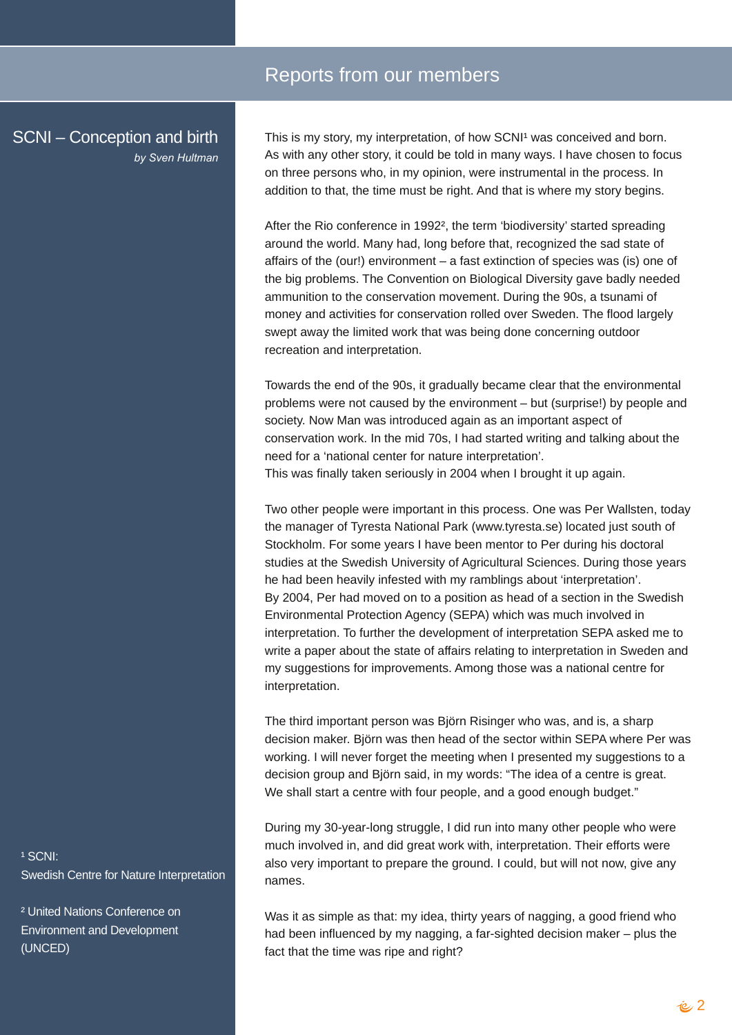# Reports from our members

SCNI – Conception and birth *by Sven Hultman*

This is my story, my interpretation, of how SCNI<sup>1</sup> was conceived and born. As with any other story, it could be told in many ways. I have chosen to focus on three persons who, in my opinion, were instrumental in the process. In addition to that, the time must be right. And that is where my story begins.

After the Rio conference in 1992², the term 'biodiversity' started spreading around the world. Many had, long before that, recognized the sad state of affairs of the (our!) environment – a fast extinction of species was (is) one of the big problems. The Convention on Biological Diversity gave badly needed ammunition to the conservation movement. During the 90s, a tsunami of money and activities for conservation rolled over Sweden. The flood largely swept away the limited work that was being done concerning outdoor recreation and interpretation.

Towards the end of the 90s, it gradually became clear that the environmental problems were not caused by the environment – but (surprise!) by people and society. Now Man was introduced again as an important aspect of conservation work. In the mid 70s, I had started writing and talking about the need for a 'national center for nature interpretation'. This was finally taken seriously in 2004 when I brought it up again.

Two other people were important in this process. One was Per Wallsten, today the manager of Tyresta National Park (www.tyresta.se) located just south of Stockholm. For some years I have been mentor to Per during his doctoral studies at the Swedish University of Agricultural Sciences. During those years he had been heavily infested with my ramblings about 'interpretation'. By 2004, Per had moved on to a position as head of a section in the Swedish Environmental Protection Agency (SEPA) which was much involved in interpretation. To further the development of interpretation SEPA asked me to write a paper about the state of affairs relating to interpretation in Sweden and my suggestions for improvements. Among those was a national centre for interpretation.

The third important person was Björn Risinger who was, and is, a sharp decision maker. Björn was then head of the sector within SEPA where Per was working. I will never forget the meeting when I presented my suggestions to a decision group and Björn said, in my words: "The idea of a centre is great. We shall start a centre with four people, and a good enough budget."

During my 30-year-long struggle, I did run into many other people who were much involved in, and did great work with, interpretation. Their efforts were also very important to prepare the ground. I could, but will not now, give any names.

Was it as simple as that: my idea, thirty years of nagging, a good friend who had been influenced by my nagging, a far-sighted decision maker – plus the fact that the time was ripe and right?

1 SCNI· **Swedish Centre for Nature Interpretation** 

² United Nations Conference on Environment and Development (UNCED)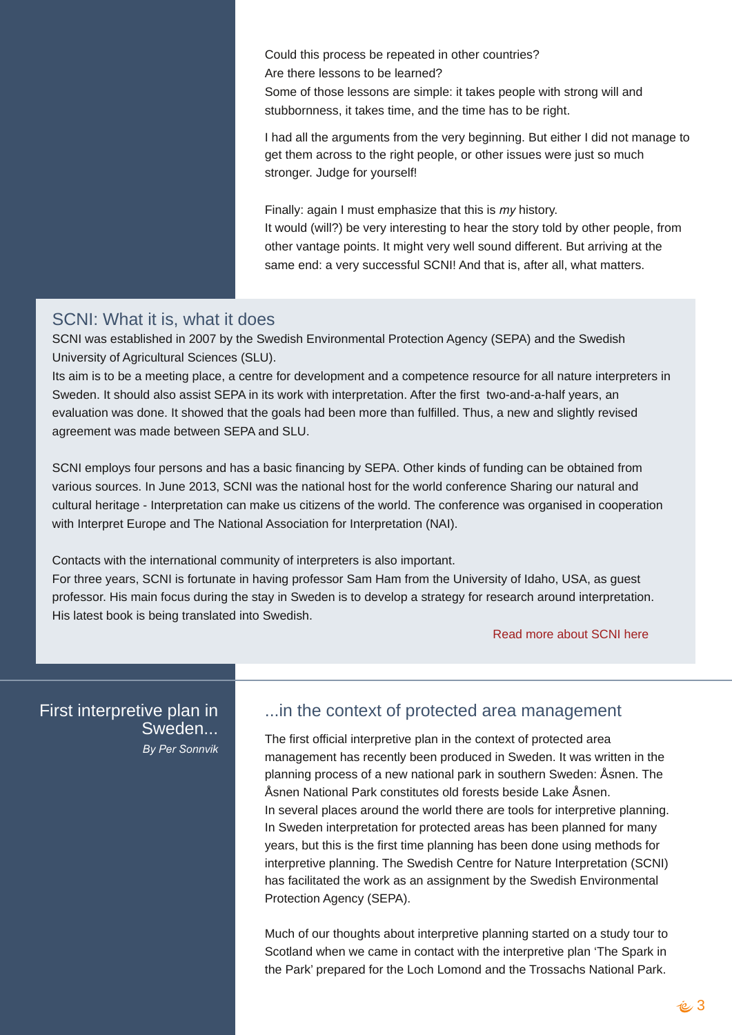Fr xog wkl v sur f hvv eh uhshdwhg Iq r wkhufr xqwulhvB Duh wkhuh ohvvr qv wr eh ohduqhgB Vr p h r i wkr vh ohvvr av duh vlp soh=lwwdnhy shr soh z lwk vwur qi z loedqq vw.eer ugahvv/ lwwdnhy wlp h/ dag wkh wlp h kdv wr eh ulj kw1

Lkdg doowkh duj xp hqw iur p wkh yhu ehj lqqlqj 1ExwhlwkhuLglg qr wp dqdj h wr j hwwkhp df ur vv wr wkh ulj kwshr soh/r ur wkhulvvxhv z huh mavwvr p xfk vwur qj hu1Mxgj h ir u| r xuvhoi\$

 $I$  lqdo $\phi$  =dj dlq Lp xvwhp skdvl}h wkdwwklv lv p  $|$  klvwr u|1 Lwz r xog +z looB, eh yhu| lqwhuhvwlqj wr khduwkh vwr u| wr og e| r wkhushr soh/ iur p r wkhuydqwdj h sr lqw1Lwp lj kwyhu| z hovr xqg gliihuhqw1Exwduulylqj dwwkh vdp h hqq=d yhu vxf f hvvixoVFQL\$Dqq wkdwlv/ diwhudood z kdwp dwhuv1

## VFQL=Z kdwlwlv/ z kdwlwgr hv

VFQLz dv hvwdedwkhg lq 533: e| wkh Vz hglvk Hqylur qp hqwdoSur whf wlr q Dj hqf | +VHSD, dqg wkh Vz hglvk Xqlyhuvlw r i Dj ulf xoxudoVf lhqf hv +VOX,1

Lw dlp Iv wr eh d p hhwlqj sodf h/d f hqwuh ir ughyhor sp hqwdqg d f r p shwhqf h uhvr xuf h ir udoo qdwxuh lqwhusuhwhuv lq Vz hghq1Lwvkr xog dovr dvvlvwVHSD lq lwzr un z lwk lqwhusuhwdwlr q1Diwhuwkh iluvwwz r 0dqg0d0kdoi | hduv/ dq hydoxdwlr q z dv gr qh1Lwkr z hg wkdwwkh jr dov kdg ehhq p r uh wkdq ixoiloobig1Wkxv/d qhz dqg volj kwo| uhylvhg dj uhhp hqwz dv p dgh ehwz hhq VHSD dqg VOX1

VFQLhp sor | v ir xushuvr qv dqg kdv d edvlf ilqdqf lqj e| VHSD1Rwkhunlqgv r i ixqglqj f dq eh r ewdlqhg iur p ydulr xv vr xuf hv1Lq Mxqh 5346/ VFQLz dv wkh qdwlr qdokr vwir uwkh z r uog f r qihuhqf h Vkdulqj r xuqdwxudodqg f xowxudokhulwdj h 0Lqwhusuhwdwlr q f dq p dnh xv f lwl}hqv r i wkh z r uog1Wkh f r qihuhqf h z dv r uj dqlvhg lq f r r shudwlr q z lwk LqwhusuhwHxur sh dqg Wkh Qdwlr qdoDvvr f ldwir q ir uLqwhusuhwdwlr q +QDL,1

Fr qwdf w z lwk wkh lqwhuqdwlr qdof r p p xqlwl r i lqwhusuhwhuv lv dovr lp sr uwdqw1 I r uwkuhh | hduv/ VFQLlv ir uwxqdwh lq kdylqj sur ihvvr uVdp Kdp iur p wkh Xqlyhuvlw| r i Lgdkr / XVD/ dv j xhvw sur ihvvr u1Klv p dlq ir f xv gxulqj wkh vwd| lq Vz hghq lv wr ghyhors d vwudwhj | ir uuhvhduf k dur xqg lqwhusuhwdwlr q1 Klv odwhvwer r n lv ehlqj wudqvodwhg lqwr Vz hglvk1

## Uhdg p r uh der [xwVFQLkhuh](http://www.slu.se/en/collaborative-centres-and-projects/swedish-centre-for-nature-interpretation)

I luvwlqwhusuhwlyh sodq lq Vz hghq111 E| ShuVr qqyln

# 111lq wkh f r qwh{ wr i sur whf whg duhd p dqdj hp hqw

With iluv wriilf ldolq whusuh with sodq lq with frqwh { wr i sur what whg duhd p dqdj hp hqwkdv uhf hqwo ehhq sur gxf hg lq Vz hghq1Lwz dv z ulwolq lq wkh sodqqlqj sur f hvv r i d qhz qdwlr qdosdun lq vr xwkhuq Vz hghq=fvqhq1Wkh f vqhq Qdwr qdoSdun f r qvww.whv r og ir uhvw ehvlgh Odnh f vqhq1 Lq vhyhudosodf hv dur xqq wkh z r uog wkhuh duh wr ov ir ulqwhusuhwlyh sodqqlqj 1 Lq Vz hghq lqwhusuhwdwlr q ir usur whf whg duhdv kdv ehhq sodqqhg ir up dq| | hduv/ exwwklv lv wkh iluvwwlp h sodqqlqj kdv ehhq gr qh xvlqj p hwkr gv ir u lqwhusuhwlyh sodqqlqj 1Wkh Vz hglvk Fhqwuh ir uQdwxuh Lqwhusuhwdwlr q +VFQL, kdv idf lowdwhg wkh z r un dv dq dvvlj qp hqwe| wkh Vz hglvk Hqylur qp hqwdo Sur whf wir q Dj hqf | +VHSD, 1

Pxf k r i r xuwkr xj kw der xwlqwhusuhwlyh sodqqlqj vwduwhg r q d vwxg| wr xuwr Vf r wodqg z khq z h f dp h lq f r qwdf wz lwk wkh lqwhusuhwlyh sodq ÕWkh Vsdun lq wkh SdunÖsuhsduhg ir uwkh Or f k Or p r qg dqg wkh Wur vvdf kv Qdwlr qdoSdun1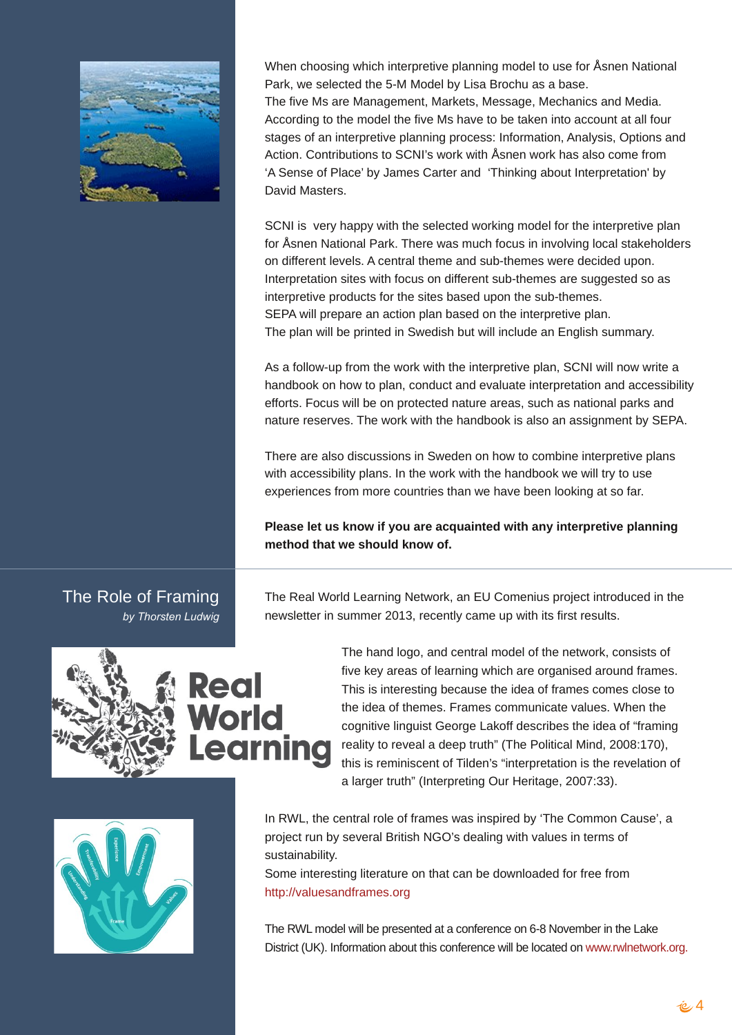|                                               | Z khq fkrrvlqj z klfk lqwhusuhwlyh sodqqlqj prghowr xvhirufvqhq Qdwlrqdo<br>Sdun/zh vhohf whg wkh 80P Prghoel Ovd Eurfkx dv dedvh1<br>With ilyh P v duh P dqdj hp hqw P dunhw/ P hvvdj h/ P hf kdqlf v dqg P hgld1<br>Dffruglgj wr wkh prghowkh ilyh Pv kdyh wr eh wdnhq lqwr dffrxqwdwdooirxu<br>vwdjhvridqlqwhusuhwlyhsodqqlqjsurfhvv=Lqirupdwlrq/Dqdojvlv/Rswlrqvdqg<br>Dfwirq1FrqwulexwirqvwrVFQLÖvzrunzlwk fyqhqzrunkdvdovrfrphiurp<br>$\tilde{D}$ Vhqvhri Sodfh $\ddot{G}$ e Modphv Fduwhuddg $\ddot{O}$ Wilqnlqj derxwl.qwhusuhwolwirq*el<br>Gdylg P dvwaw1<br>VFQLIv yhu kdss   z luk ukh vhohfung z r uniqj p r ghoiru ukh lquhusuhulyh sodq<br>ir uf vqhq Qdwr qdoSdun1Wkhuh z dv p xf k ir f xv lq lqyr oylqj or f dovwdnhkr oghw<br>rq gliihuhqwohyhov1Dfhqwudowkhphdqg vxe0wkhphvzhuhghflghg xsrq1<br>Lqwhusuhwdwir q vlwh v z lwk ir f xv r q gliihuhqwwxe Owkhp hv duh vxj j hvwhg vr dv<br>Iqwhusuhwiyh sur gxf w ir uwkh vlwhvedvhg xsrq wkh vxe Owkhphv1 |
|-----------------------------------------------|----------------------------------------------------------------------------------------------------------------------------------------------------------------------------------------------------------------------------------------------------------------------------------------------------------------------------------------------------------------------------------------------------------------------------------------------------------------------------------------------------------------------------------------------------------------------------------------------------------------------------------------------------------------------------------------------------------------------------------------------------------------------------------------------------------------------------------------------------------------------------------------------------------------------------------------------------------------------------|
|                                               | VHSD z loosuhsduh da df wir a soda edvhar a wich lawhusuhwiyh soda 1<br>With sodq z looeh sulqwing lq Vz hglvk exwz loolqf oxgh dq Hqj olvk vxp p du 1<br>Dvdiroorz 0 ks iurp wkh z run zlwk wkhlqwhusuhwlyh sodq/VFQLzloo qrz zulwhd<br>kdager rnrq krz w sodq/fragxfwdag hydoxdwh lawhusuhwdwirq dag dffhvvleldwy<br>hiir uw 11 r f xv z looeh r q sur whf whg qdw.uh duhdv/vxfk dv qdwlr qdosdunv dqg<br>qdw.uh uhvhuyhv1Wkh z r un z lwk wkh kdqger r n lv dovr dq dvvlj qp hqwe  VHSD1                                                                                                                                                                                                                                                                                                                                                                                                                                                                                |
|                                               | With duhdovrglvfxvvlrqvlq Vzhghqrqkrzw frpelqhlqwhusuhwlyhsodqv<br>ziwk dffhvvleidwy sodqv1Lq wkh zrun ziwk wkh kdqgerrn zh zioowyl wrxvh<br>h{shuhqfhviurp pruhfrxqwuhvwkdqzhkdyhehhqornlqjdwvridu1<br>Sohdvh ohwxv nqrz li   r x duh df t x dlqwhg z lwk dq  lqwhusuhwly h sodqqlqj<br>phwkrgwkdwzh vkrxognqrz ri1                                                                                                                                                                                                                                                                                                                                                                                                                                                                                                                                                                                                                                                       |
| With Ur on ril udp Iqj<br>e  Wkr wwhq Oxgz lj | With Uhdo Z rung Chduqlqj Qhwzrun/dq HX Frp hqlxv surmif wlqwurgxf hg lq with<br>qhz vohwhulq vxp p hu5346/ uhf hqwo f dp h xs z lwk lw iluvwuhvxow1                                                                                                                                                                                                                                                                                                                                                                                                                                                                                                                                                                                                                                                                                                                                                                                                                       |
|                                               | With kdqg or jr/dqg fhqwdop r ghor i with qhwzrun/fr qvlvwri<br>ilyh nh  duhdv ri dnduqlqj z klfk duh r y dqlvhg du xqg iudp hv1<br>Wikiv Iv Iqvinuhvvilaj ehfdxvh vikh Ighd ri iudphv frphv forvh wr<br>wkh lghd riwkhphv1l udphv frppxqlfdwhydoxhv1Z khqwkh<br>frj qlwyh daj xlvwJ hr y h Odnrii ghvf ulehv wkh Ighd ri Óudp Iqj<br>undowl w unyhdod ghhs wxwkOH/Kh Srowlf do Plqg/ 533; -4: 3,/<br>wklv lv uhp lqlvfhqwr i Wloghq Öl Ólqwhusuhwdwir q lv wikh uhyhodwir q ri<br>dodyihuwuxwkÔ+lqwhusuhwlqjRxuKhulwdjh/533:=66,1                                                                                                                                                                                                                                                                                                                                                                                                                                         |
|                                               | Lq UZO with fhqwdour of riiudph v z dv lqvsluhge   QWith Frpprq FdxvhÖd<br>sư nhfwuxq e  vhyhudo Eulwik QJ RÖ ghdolaj z lwk ydoxhv lq whup v ri<br>vxvwdlqdeldwy1<br>Vrphlqwhuhvwlqj olwhudwxuh rqwkdwfdqeh grzqordghg iruiuhh iurp                                                                                                                                                                                                                                                                                                                                                                                                                                                                                                                                                                                                                                                                                                                                        |
|                                               | kws=2ydoxhvdqgiudp hv1r y<br>With UZ Op r ghoz looeh suhvhqwing dwd fr qihuhqf h r q 90 Qr yhp ehulq with Qdnh<br>Glvwulfw+XN,1Lqirupdwirqderxwwklvfrqihuhqfhzlooehorfdwhgrqzzz1uzoqhwzruntuj1                                                                                                                                                                                                                                                                                                                                                                                                                                                                                                                                                                                                                                                                                                                                                                             |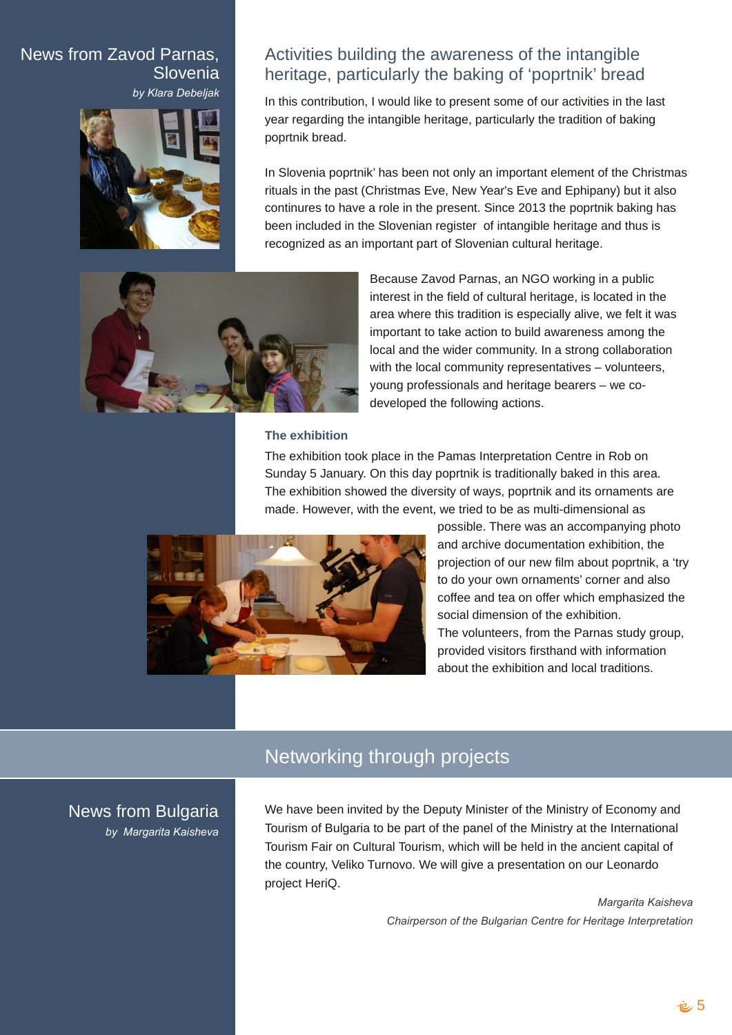# News from Zavod Parnas, **Slovenia** *by Klara Debeljak*



# Activities building the awareness of the intangible heritage, particularly the baking of 'poprtnik' bread

In this contribution, I would like to present some of our activities in the last year regarding the intangible heritage, particularly the tradition of baking poprtnik bread.

In Slovenia poprtnik' has been not only an important element of the Christmas rituals in the past (Christmas Eve, New Year's Eve and Ephipany) but it also continures to have a role in the present. Since 2013 the poprtnik baking has been included in the Slovenian register of intangible heritage and thus is recognized as an important part of Slovenian cultural heritage.



Because Zavod Parnas, an NGO working in a public interest in the field of cultural heritage, is located in the area where this tradition is especially alive, we felt it was important to take action to build awareness among the local and the wider community. In a strong collaboration with the local community representatives – volunteers, young professionals and heritage bearers – we codeveloped the following actions.

#### **The exhibition**

The exhibition took place in the Pamas Interpretation Centre in Rob on Sunday 5 January. On this day poprtnik is traditionally baked in this area. The exhibition showed the diversity of ways, poprtnik and its ornaments are made. However, with the event, we tried to be as multi-dimensional as



possible. There was an accompanying photo and archive documentation exhibition, the projection of our new film about poprtnik, a 'try to do your own ornaments' corner and also coffee and tea on offer which emphasized the social dimension of the exhibition. The volunteers, from the Parnas study group, provided visitors firsthand with information about the exhibition and local traditions.

# Networking through projects

## News from Bulgaria *by Margarita Kaisheva*

We have been invited by the Deputy Minister of the Ministry of Economy and Tourism of Bulgaria to be part of the panel of the Ministry at the International Tourism Fair on Cultural Tourism, which will be held in the ancient capital of the country, Veliko Turnovo. We will give a presentation on our Leonardo project HeriQ.

> *Margarita Kaisheva Chairperson of the Bulgarian Centre for Heritage Interpretation*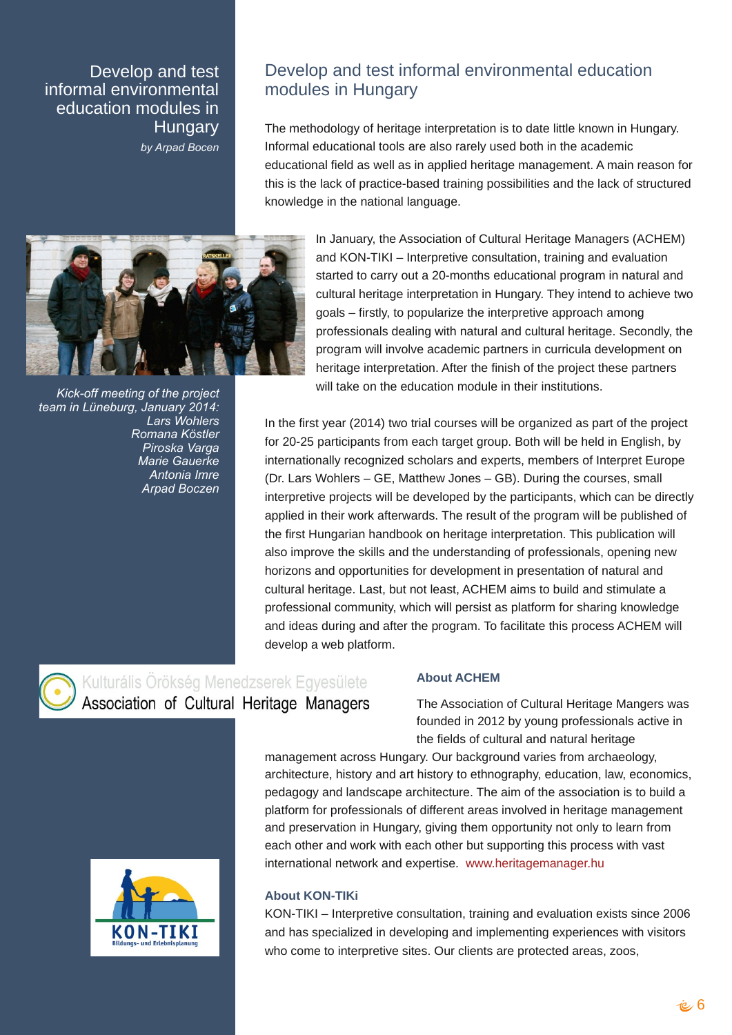Ghyhor s dqg wh vw lqir up dohqylur qp hqwdo hgxf dwr q p r gxohv lq Kxqj du| e| Dusdg Er f hq

Nlf n0r ii p hhwlqj r i wkh sur mhf w whdp lq O¡ qhexuj / Mdqxdu| 5347= Oduv Z r kohuv Ur p dad Nowwohu Slur vnd Yduj d P duh J dxhunh Daw ald Lp uh Dusdg Er f }hq

# Ghyhor s dqg whywlqir up dohqylur qp hqwdohgxf dwlr q p r gxoh lq Kxqj du

With p hwkr gror j | r i khulwdjh lqwhusuhwdwlr q lv wr gdwh olwoh ngrz q lq Kxqj du|1 Lgir up dohgxf dwir gdowr a duh davr uduhol xvhg er wk lg wich df dghp lf hgxf dwlr qdoilhog dv z hodv lq dssolhg khulwdj h p dqdj hp hqw1D p dlq uhdvr q ir u wklv lv wkh odf n r i sudf wlf h0edvhg wudlqlqj sr vvlelolwlhv dqg wkh odf n r i vwuxf wxuhg nqr z dngj h lq wkh qdwlr qdoodqj xdj h1

> Lq Mdqxdu|/ wkh Dvvr f ldwlr q r i FxowxudoKhulwdj h Pdqdj huv +DFKHP, dqg NRQ0WLNLN Lqwhusuhwlyh frqvxowdwlr q/wudlqlqj dqg hydoxdwlr q vwduwhg wr f duu| r xwd 530p r qwkv hgxf dwlr qdosur j udp lq qdwxudodqg f xowxudokhulwdj h lqwhusuhwdwlr q lq Kxqj du|1Wkh| lqwhqg wr df klhyh wz r j r dov Ñiluvwo|/ wr sr sxodul}h wkh lqwhusuhwlyh dssur dfk dp r qj sur ihvvlr qdov ghdolqj z lwk qdwxudodqg f xowxudokhulwdj h1Vhf r qgol/ wkh sur judp z loolqyr oyh df dghp lf sduwghuv lg f xuulf xod ghyhor sp hqwr q khulwdj h lqwhusuhwdwlr q1Diwhuwkh ilqlvk r i wkh sur mhf wwkhvh sduwqhuv z loo wdnh r q wkh haxf dwlr q p r gxoh la wkhlulqvwlwxwlr qv1

Lq wkh iluv w| hdu+5347, wz r wuldof r xuvhv z looeh r uj dql}hg dv sduwr i wkh sur mhf w ir u53058 sduwlf lsdqw iur phdf k wduj hwj ur xs1 Er wk z looeh khog lq Hqj olvk/ el lqwhuqdwlr qdoo| uhf r j ql}hg vf kroduv dqg h{ shuw/p hp ehuv r i LqwhusuhwHxur sh +Gu1Oduv Z r kohuv ÑJ H/ Pdwkhz Mr qhv ÑJ E,1Gxulqj wkh f r xuvhv/ vp do lqwhusuhwlyh sur mhf w z loo eh ghyhor shg e| wkh sduwlf lsdqw/z klfk f dq eh gluhf wo dssolhg lq wkhluz r un diwhuz dugv1Wkh uhvxowr i wkh sur judp z looeh sxeolvkhg ri wkh iluvwKxqj duldq kdqger r n r q khulwdj h lqwhusuhwdwlr q1Wklv sxeolf dwlr q z lo dovr lp sur yh wkh vnlov dqg wkh xqghuvwdqglqj r i sur ihvvlr qdov/ r shqlqj qhz kr u}r qv dqg r ssr uw.qlw.hv ir ughyhor sp hqwlq suhvhqwdwlr q r i qdw.udodqg f xowxudokhulwdj h1Odvw/ exwqr wohdvw/ DFKHP dlp v wr exlog dqg vwlp xodwh d sur ihvvlr qdof r p p xqlw/ z klf k z looshuvlvwdv sodwir up ir uvkdulqi nqr z ohqi h dqq lghdv gxulqi dqq diwhuwkh sur judp 1Wr idf lowdwh wklv surf hvv DFKHP z loo ghyhors d z he sodwir up 1

## Der xwDFKHP

With Dvvr fldwir q r i Fxoxxudo Khulwdih Pdqihuv z dv ir xqghg lq 5345 e $\mid$   $\mid$  r xqi sur ihvvlr qdov df wh lq wkh ilhogv r i f xowxudodqg qdwxudokhulwdj h

p dqdj hp hqwdf ur vv Kxqj du 1Rxuedf nj ur xqg ydulhv iur p duf kdhr or j |/ duf klwhf wxuh/klvwr u| dqg duwklvwr u| wr hwkqr judskl/hgxf dwlr q/ odz/hf r qr p lf v/ shadir ildag odqayfdsh duf klwhf wxuh1Wkh dlp riwkh dvvr fldwlr q ly wr exlog d sodwir up ir usur ihvvlr qdov r i gliihuhqwduhdv lqyr oyhg lq khulwdj h p dqdj hp hqw dqg suhvhuydwir q lq Kxqj du|/ j lylqj wkhp r ssr uw qlw| qr wr qol wr ohduq iur p hdf k r wkhudqq z r un z lwk hdf k r wkhuexwy x s r uwlqi wklv s u f hvv z lwk ydvw lqwhuqdwlr qdoqhwz r un dqg h{ shuwlah  $z$  z z 1khulwdj hp dqdj hu1kx

## Der xwNRQ0WNI

NRQ0WLNLN Lqwhusuhwlyh frqvxowdwlr q/ wudlqlqi dqq hydoxdwlr q h{lvw vlqf h 5339 dqg kdv vshf ldd}hg lq ghyhor slqj dqg lp sohp hqwlqj h{ shulhqf hv z lwk ylvlwr uv z kr f r p h wr lawhusuhwl h vlwhv1Rxuf olhaw duh sur whf wha duhdv/ $\frac{1}{r}$ r r v/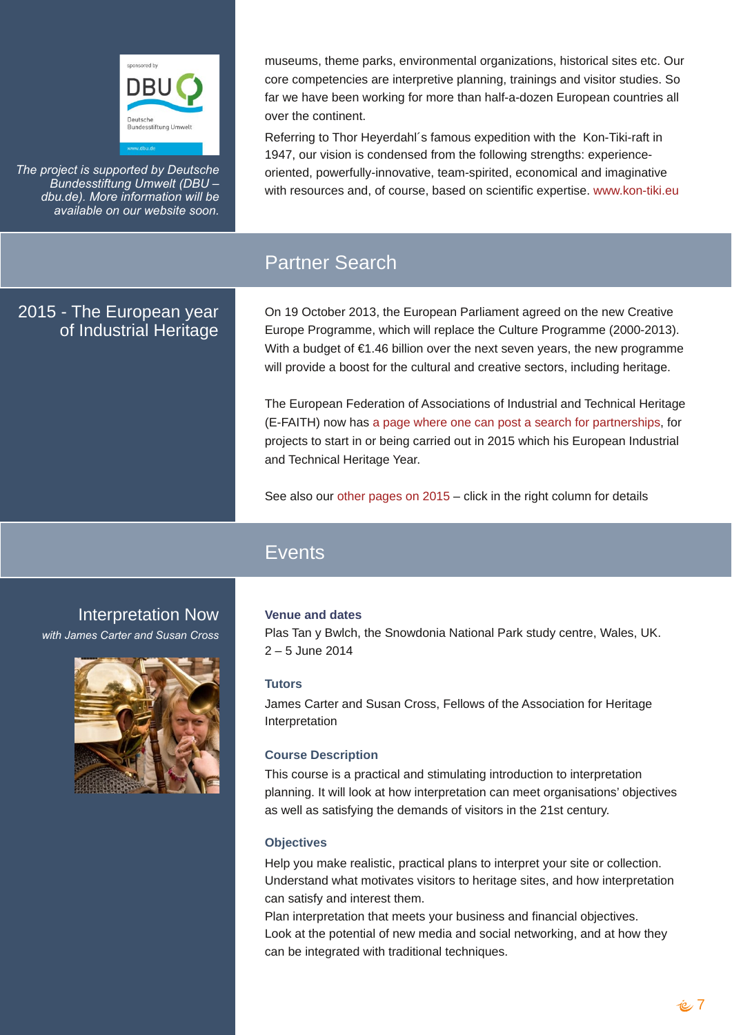p xvhxp v/ wkhp h sdunv/ hqylur qp hqwdor y dql}dwir qv/klvwruf dovlwhv hwf1Rxu fr uh fr p shwhaf lhy duh lawhusuhwiyh sodaalaj / wollalaj v daa ylylwru ywglhy 1 Vr iduzh kdyh ehha z r unlaj ir up r uh wkda kdoiadigr } ha Hxurshda f r x q wihv doo r yhuwkh fr gwlghgwl

Uhihulgi w WkruKh| hugdkovidprxvh{shglwrqzlwk wkh Nrq0/Whl0.diwlq 4<7:/rxuylvlrqlvfrqqhqvhgiurp wkhiroorzlqjvwhqjwkv=h{shuhqfh0 r uhqwhg/srzhuixow Olgarydwyh/whdp Ovsluwhg/hfrgrplfdodgg lpdjlgdwyh z lwk uhvr xuf hv dqg/r i fr xuvh/edvhgr q vf lhqwilf h{shuwth1z z z 1nr q0whl1hx

With sur mif wiv vxssr wing el Ghxwf kh Exqghvvwwwqj Xp z howHGEX N  $g$ ex  $g$ h, 1P r uh lgir up dwr g z lobeh dydlodeon r g r xuz hevly wr r g1

# Sduahu Vhduf k

## 5348 0Wkh Hxu shdq | hdu r i LqgxvwldoKhuwdj h

Rq 4< Rf wehu5346/ wkh Hxurshdq Sduddp hqwdj uhhg rq wkh qhz Fuhdwlyh Hxu sh Su judp p h/z klfk z loothsolfh wkh Fxoxuh Su judp p h +533305346,1 Z lwk dexgihwri Ü4179 eloolrg ryhuwkh gh{wwhyhg | hduv/wkh ghz surjudpph zloosur yigh derr vwir uwkh fxow.udodgg fuhdwiyh vhfwru/lqfoxglqj khulwdjh1

With Hxurshdal hahudwir a ri Dvvrfldwir av ri Laaxvwddodga WhikalidoKhuwdih +HOI DLWK, qrz kdv d sdj h z khuh r qh f dq sr vwd vhduf k ir usduwqhuvklsv/ ir u sur mf w w vwduwig ruehlgj fdulhg r xwig 5348 z kifk kiv Hxurshdg Lggxvwido dgg VMf kglf doKhuwdi h \ hdul

Vhh dovr rxurwkhusdihvrg 5348 Ñfolfnig wich uj kwfroxp girughwollow

# **Hyhqw**

Lawhus un working Qr z

z lwk Mdp hv Fdumudqg Vxvdq Furvv

## Yhaxh daa adww

Sodv Wdg | Ez of k/ wkh Vgr z gr gld Qdwr gdoSdun vwg | f hgwh/ Z dohv/ XN1 5 N8 Mkgh 5347

## **Volvor**

Molphy Foluwhudgg Vxvdg Furvv/Ihoorzy rivkh Dvvrfldvurg iru Khulwoljh Lavinus unvolvir q

## Fr x wh Ghvf ds wr q

Willy fr x wh Iv d sudf wifdodgg vwlp xodwigill gwr gxf wir gwr Igwhusuh wdwir g sødaglaj 1 lwz loporn dwkrz lawhusuhwolwira fda phhwrujdalydwiray Örenhfwlyn dv z hoddv vdwillgj wich ghp dagv ri ylvlwruw la wich 54 vwf haws ul 1

## Remf wwhy

Khos | r x p dnh uhddwwlf/sudfwlfdosodgy wr lgwhusuhwl r xuvlwh r u frochfwlrg1 Xgghuvudgg z kdwp r wydwh ylvlwru wr khuludi h vlwhv/dgg krz lgwhusuhwdwirg f da vdwil dag lawnuwwkhp 1

Sodq lqwhusuhwdwir q wkdwp hhw | r xuexvlqhvv dqg ilqdqf ldor emnf wyhv1 Orrndwich srungvidorighz phgld dag vrfldoghuz runlaj/dag dwikrz wich f da eh lavhi udvha z lvk wudalvkr adovhi kalt xhv1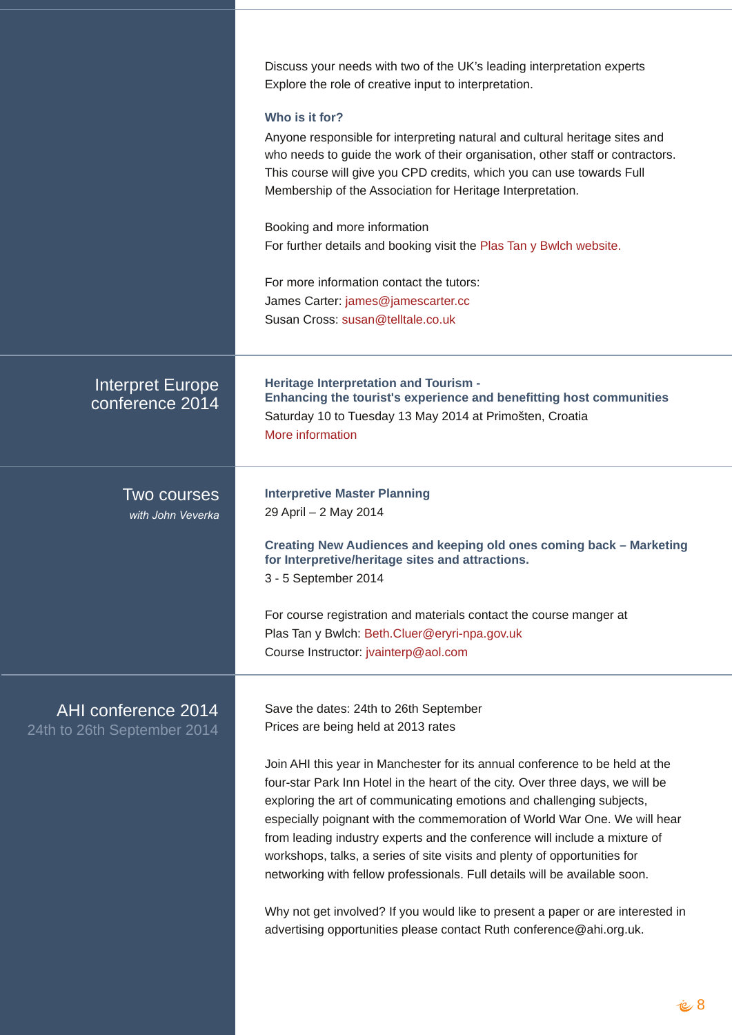|                                                  | Glvfxvv   rxuqhhgvzlwk wzrriwkh XNÖ ohdglqj lqwhusuhwdwirq h{shuw<br>H{sorthwkhurohrifthdwlyhlqsxwwrlqwhusuhwdwlrq1<br>Z kr Iv Iwir uB<br>Dq rqh uhvsrqvlednirulqvlausuhwlqjqdwsudodqgfxoxudokhulwdjhvlwhvdqg<br>z krąh hgy wrjxlgh wkh z r un riwkhlur yjdqlvdwirq/rwkhu vwdiirufrqwudfwruv 1<br>Wilv fr x wh z looj lyh   r x FSG f uhglw/z klfk   r x f dq x vh w z dugv l x oo<br>Php ehuvkls rivkh Dvvrfldvirg ir u Khulvoljh Lgvhusuhvolvirg1<br>Errnlqj dqg pruh lqirup dwirq<br>Ir uixukhughwallov dqg er rnlqj ylvlwwkh Sodv Volq   Ez of k z hevlwh 1<br>Ir up ruhlqirup dwirq frqwdfwwkh wxwruv=<br>Mdp hv Fduwhu=rdp hvC rdp hvf duwhuff f<br>Vxvdq Fu vv=vxvdqC who modo ffr tkn                                                                    |
|--------------------------------------------------|------------------------------------------------------------------------------------------------------------------------------------------------------------------------------------------------------------------------------------------------------------------------------------------------------------------------------------------------------------------------------------------------------------------------------------------------------------------------------------------------------------------------------------------------------------------------------------------------------------------------------------------------------------------------------------------------------------------------------------------------------------------|
| Lawhusut which is a h<br>f r gihungf h 5347      | Khulvelj h Lqvhusuhvelvvrq dqg Wyxulvp 0<br>Hqkdqflqj wkh wrxulvwt h{shulhqfhdqgehqhilwlqj krvwfrppxqlwlhv<br>Vdw.ugd  43 w Wkhvgd  46 Pd  5347 dwSup r #whq/ Furdwid<br>Pr uh lgir up dwir q                                                                                                                                                                                                                                                                                                                                                                                                                                                                                                                                                                    |
| W <sub>z</sub> r f r xwhv<br>z lwk M kq Yhyhund  | Lqwhusuhwyh PdvwhuSodqqlqj<br>5 <dsuon5 5347<br="" pd ="">Fundwigj Qhz Dxglhqf hv dqg nhhslqj rog rqhv frp lqj edfn NP dunhwigj<br/>ir ulgwhusuhwyh2khulwdjh vlwhv dqg dwudf whr qv1<br/>608 Vhswhp ehu5347<br/>I rufrxwh uhj lvwudwir q dqg p dwhuldov frqwulfwwkh frxwh p dqj hudw<br/>Sodv Volq   Ez of k=Ehwk FoxhuC hu  ul0qsd1jry1xn<br/>Fr x wh Lqvwxf wru=mydlqwhusC droff rp</dsuon5>                                                                                                                                                                                                                                                                                                                                                                   |
| DKLf r gihungf h 5347<br>57% w 59% Vhswhpehu5347 | Vdyh wkh gdwhv=57wk wr 59wk Vhswhpehu<br>Suf hv duh ehlqj khog dw5346 udwhv<br>Milq DKL wklv   hdulq Pdqf khv whuir ulw dqqxdof r qihuhqf hw eh khog dwwkh<br>ir xu0vwduSdun Lqq Krwholq wkh khduwr i wkh flw 1Ryhuwkuhh gd  v/zhzlooeh<br>h{sorulqj wkh duwrifrppxqlfdwlqj hprwtqvdqgfkdoohqjlqj vxemhfw/<br>hvshfldoo  srljqdqwzlwk wkhfrpphprudwiqriZruog ZduRqh1Zhzlookhdu<br>iurp ohdglqj lqgxvwo  h{shuw dqg wkh frqihuhqfh zloolqfoxgh d pl{wauh ri<br>z runvkrsv/wdonv/d vhulhv rivlwh ylvlw dqg sohqw  rirssruw.qlwlhviru<br>qhwzrunlqj zlwkihoorz surih vvlrqdov 11 xooghwollov zlooeh dydlodeoh vrrq1<br>Zk   qrwj hwlqyrgyhgBli   rxzrxog olnh wrsuhvhqwd sdshuruduh lqwhuhvwlng lq<br>dgyhulwlqjrssruwqlvlhvsdndvhfrqwdfwUxwkfrqihuhqfhCdkltrujtkn1 |